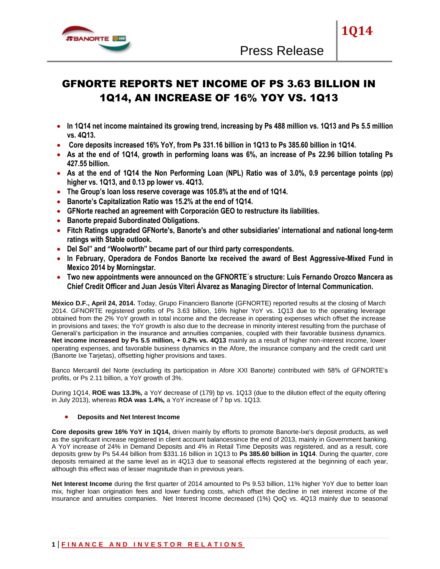

# GFNORTE REPORTS NET INCOME OF PS 3.63 BILLION IN 1Q14, AN INCREASE OF 16% YOY VS. 1Q13

- **In 1Q14 net income maintained its growing trend, increasing by Ps 488 million vs. 1Q13 and Ps 5.5 million vs. 4Q13.**
- **Core deposits increased 16% YoY, from Ps 331.16 billion in 1Q13 to Ps 385.60 billion in 1Q14.**
- **As at the end of 1Q14, growth in performing loans was 6%, an increase of Ps 22.96 billion totaling Ps 427.55 billion.**
- **As at the end of 1Q14 the Non Performing Loan (NPL) Ratio was of 3.0%, 0.9 percentage points (pp) higher vs. 1Q13, and 0.13 pp lower vs. 4Q13.**
- **The Group's loan loss reserve coverage was 105.8% at the end of 1Q14.**
- **Banorte's Capitalization Ratio was 15.2% at the end of 1Q14.**
- **GFNorte reached an agreement with Corporación GEO to restructure its liabilities.**
- **Banorte prepaid Subordinated Obligations.**
- **Fitch Ratings upgraded GFNorte's, Banorte's and other subsidiaries' international and national long-term ratings with Stable outlook.**
- **Del Sol" and "Woolworth" became part of our third party correspondents.**
- **In February, Operadora de Fondos Banorte Ixe received the award of Best Aggressive-Mixed Fund in Mexico 2014 by Morningstar.**
- **Two new appointments were announced on the GFNORTE´s structure: Luis Fernando Orozco Mancera as Chief Credit Officer and Juan Jesús Viteri Álvarez as Managing Director of Internal Communication.**

**México D.F., April 24, 2014.** Today, Grupo Financiero Banorte (GFNORTE) reported results at the closing of March 2014. GFNORTE registered profits of Ps 3.63 billion, 16% higher YoY vs. 1Q13 due to the operating leverage obtained from the 2% YoY growth in total income and the decrease in operating expenses which offset the increase in provisions and taxes; the YoY growth is also due to the decrease in minority interest resulting from the purchase of Generali's participation in the insurance and annuities companies, coupled with their favorable business dynamics. **Net income increased by Ps 5.5 million, + 0.2% vs. 4Q13** mainly as a result of higher non-interest income, lower operating expenses, and favorable business dynamics in the Afore, the insurance company and the credit card unit (Banorte Ixe Tarjetas), offsetting higher provisions and taxes.

Banco Mercantil del Norte (excluding its participation in Afore XXI Banorte) contributed with 58% of GFNORTE"s profits, or Ps 2.11 billion, a YoY growth of 3%.

During 1Q14, **ROE was 13.3%,** a YoY decrease of (179) bp vs. 1Q13 (due to the dilution effect of the equity offering in July 2013), whereas **ROA was 1.4%,** a YoY increase of 7 bp vs. 1Q13.

## **Deposits and Net Interest Income**

**Core deposits grew 16% YoY in 1Q14,** driven mainly by efforts to promote Banorte-Ixe's deposit products, as well as the significant increase registered in client account balancessince the end of 2013, mainly in Government banking. A YoY increase of 24% in Demand Deposits and 4% in Retail Time Deposits was registered, and as a result, core deposits grew by Ps 54.44 billion from \$331.16 billion in 1Q13 to **Ps 385.60 billion in 1Q14**. During the quarter, core deposits remained at the same level as in 4Q13 due to seasonal effects registered at the beginning of each year, although this effect was of lesser magnitude than in previous years.

**Net Interest Income** during the first quarter of 2014 amounted to Ps 9.53 billion, 11% higher YoY due to better loan mix, higher loan origination fees and lower funding costs, which offset the decline in net interest income of the insurance and annuities companies. Net Interest Income decreased (1%) QoQ vs. 4Q13 mainly due to seasonal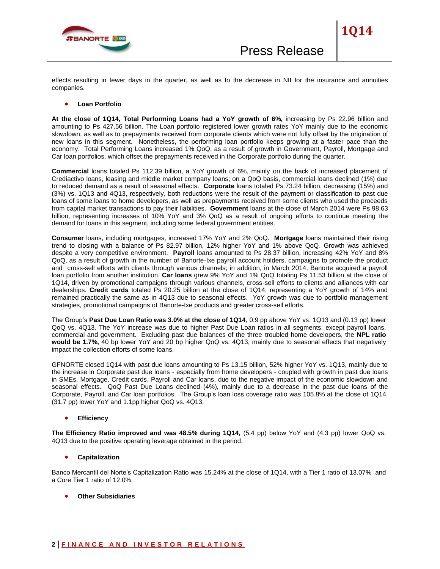

effects resulting in fewer days in the quarter, as well as to the decrease in NII for the insurance and annuities companies.

#### **Loan Portfolio**

**At the close of 1Q14, Total Performing Loans had a YoY growth of 6%,** increasing by Ps 22.96 billion and amounting to Ps 427.56 billion. The Loan portfolio registered lower growth rates YoY mainly due to the economic slowdown, as well as to prepayments received from corporate clients which were not fully offset by the origination of new loans in this segment. Nonetheless, the performing loan portfolio keeps growing at a faster pace than the economy. Total Performing Loans increased 1% QoQ, as a result of growth in Government, Payroll, Mortgage and Car loan portfolios, which offset the prepayments received in the Corporate portfolio during the quarter.

**Commercial** loans totaled Ps 112.39 billion, a YoY growth of 6%, mainly on the back of increased placement of Crediactivo loans, leasing and middle market company loans; on a QoQ basis, commercial loans declined (1%) due to reduced demand as a result of seasonal effects. **Corporate** loans totaled Ps 73.24 billion, decreasing (15%) and (3%) vs. 1Q13 and 4Q13, respectively, both reductions were the result of the payment or classification to past due loans of some loans to home developers, as well as prepayments received from some clients who used the proceeds from capital market transactions to pay their liabilities. **Government** loans at the close of March 2014 were Ps 98.63 billion, representing increases of 10% YoY and 3% QoQ as a result of ongoing efforts to continue meeting the demand for loans in this segment, including some federal government entities.

**Consumer** loans, including mortgages, increased 17% YoY and 2% QoQ. **Mortgage** loans maintained their rising trend to closing with a balance of Ps 82.97 billion, 12% higher YoY and 1% above QoQ. Growth was achieved despite a very competitive environment. **Payroll** loans amounted to Ps 28.37 billion, increasing 42% YoY and 8% QoQ, as a result of growth in the number of Banorte-Ixe payroll account holders, campaigns to promote the product and cross-sell efforts with clients through various channels; in addition, in March 2014, Banorte acquired a payroll loan portfolio from another institution. **Car loans** grew 9% YoY and 1% QoQ totaling Ps 11.53 billion at the close of 1Q14, driven by promotional campaigns through various channels, cross-sell efforts to clients and alliances with car dealerships. **Credit cards** totaled Ps 20.25 billion at the close of 1Q14, representing a YoY growth of 14% and remained practically the same as in 4Q13 due to seasonal effects. YoY growth was due to portfolio management strategies, promotional campaigns of Banorte-Ixe products and greater cross-sell efforts.

The Group"s **Past Due Loan Ratio was 3.0% at the close of 1Q14**, 0.9 pp above YoY vs. 1Q13 and (0.13 pp) lower QoQ vs. 4Q13. The YoY increase was due to higher Past Due Loan ratios in all segments, except payroll loans, commercial and government. Excluding past due balances of the three troubled home developers, the **NPL ratio would be 1.7%,** 40 bp lower YoY and 20 bp higher QoQ vs. 4Q13, mainly due to seasonal effects that negatively impact the collection efforts of some loans.

GFNORTE closed 1Q14 with past due loans amounting to Ps 13.15 billion, 52% higher YoY vs. 1Q13, mainly due to the increase in Corporate past due loans - especially from home developers - coupled with growth in past due loans in SMEs, Mortgage, Credit cards, Payroll and Car loans, due to the negative impact of the economic slowdown and seasonal effects. QoQ Past Due Loans declined (4%), mainly due to a decrease in the past due loans of the Corporate, Payroll, and Car loan portfolios. The Group"s loan loss coverage ratio was 105.8% at the close of 1Q14, (31.7 pp) lower YoY and 1.1pp higher QoQ vs. 4Q13.

## **Efficiency**

**The Efficiency Ratio improved and was 48.5% during 1Q14,** (5.4 pp) below YoY and (4.3 pp) lower QoQ vs. 4Q13 due to the positive operating leverage obtained in the period.

## **Capitalization**

Banco Mercantil del Norte's Capitalization Ratio was 15.24% at the close of 1Q14, with a Tier 1 ratio of 13.07% and a Core Tier 1 ratio of 12.0%.

**Other Subsidiaries**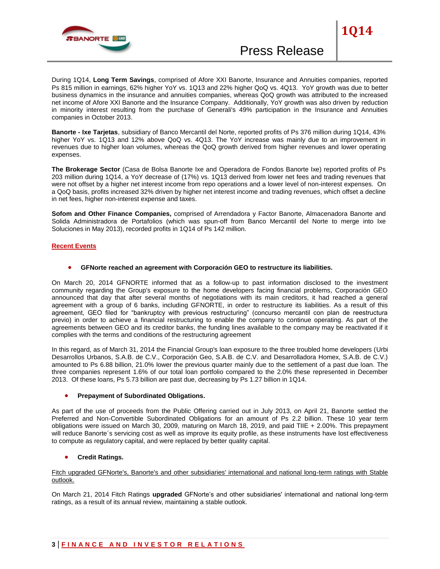

During 1Q14, **Long Term Savings**, comprised of Afore XXI Banorte, Insurance and Annuities companies, reported Ps 815 million in earnings, 62% higher YoY vs. 1Q13 and 22% higher QoQ vs. 4Q13. YoY growth was due to better business dynamics in the insurance and annuities companies, whereas QoQ growth was attributed to the increased net income of Afore XXI Banorte and the Insurance Company. Additionally, YoY growth was also driven by reduction in minority interest resulting from the purchase of Generali's 49% participation in the Insurance and Annuities companies in October 2013.

**Banorte - Ixe Tarjetas**, subsidiary of Banco Mercantil del Norte, reported profits of Ps 376 million during 1Q14, 43% higher YoY vs. 1Q13 and 12% above QoQ vs. 4Q13. The YoY increase was mainly due to an improvement in revenues due to higher loan volumes, whereas the QoQ growth derived from higher revenues and lower operating expenses.

**The Brokerage Sector** (Casa de Bolsa Banorte Ixe and Operadora de Fondos Banorte Ixe) reported profits of Ps 203 million during 1Q14, a YoY decrease of (17%) vs. 1Q13 derived from lower net fees and trading revenues that were not offset by a higher net interest income from repo operations and a lower level of non-interest expenses. On a QoQ basis, profits increased 32% driven by higher net interest income and trading revenues, which offset a decline in net fees, higher non-interest expense and taxes.

**Sofom and Other Finance Companies,** comprised of Arrendadora y Factor Banorte, Almacenadora Banorte and Solida Administradora de Portafolios (which was spun-off from Banco Mercantil del Norte to merge into Ixe Soluciones in May 2013), recorded profits in 1Q14 of Ps 142 million.

## **Recent Events**

## **GFNorte reached an agreement with Corporación GEO to restructure its liabilities.**

On March 20, 2014 GFNORTE informed that as a follow-up to past information disclosed to the investment community regarding the Group's exposure to the home developers facing financial problems, Corporación GEO announced that day that after several months of negotiations with its main creditors, it had reached a general agreement with a group of 6 banks, including GFNORTE, in order to restructure its liabilities. As a result of this agreement, GEO filed for "bankruptcy with previous restructuring" (concurso mercantil con plan de reestructura previo) in order to achieve a financial restructuring to enable the company to continue operating. As part of the agreements between GEO and its creditor banks, the funding lines available to the company may be reactivated if it complies with the terms and conditions of the restructuring agreement

In this regard, as of March 31, 2014 the Financial Group's loan exposure to the three troubled home developers (Urbi Desarrollos Urbanos, S.A.B. de C.V., Corporación Geo, S.A.B. de C.V. and Desarrolladora Homex, S.A.B. de C.V.) amounted to Ps 6.88 billion, 21.0% lower the previous quarter mainly due to the settlement of a past due loan. The three companies represent 1.6% of our total loan portfolio compared to the 2.0% these represented in December 2013. Of these loans, Ps 5.73 billion are past due, decreasing by Ps 1.27 billion in 1Q14.

#### **Prepayment of Subordinated Obligations.**

As part of the use of proceeds from the Public Offering carried out in July 2013, on April 21, Banorte settled the Preferred and Non-Convertible Subordinated Obligations for an amount of Ps 2.2 billion. These 10 year term obligations were issued on March 30, 2009, maturing on March 18, 2019, and paid TIIE + 2.00%. This prepayment will reduce Banorte´s servicing cost as well as improve its equity profile, as these instruments have lost effectiveness to compute as regulatory capital, and were replaced by better quality capital.

## **Credit Ratings.**

Fitch upgraded GFNorte's, Banorte's and other subsidiaries' international and national long-term ratings with Stable outlook.

On March 21, 2014 Fitch Ratings **upgraded** GFNorte"s and other subsidiaries' international and national long-term ratings, as a result of its annual review, maintaining a stable outlook.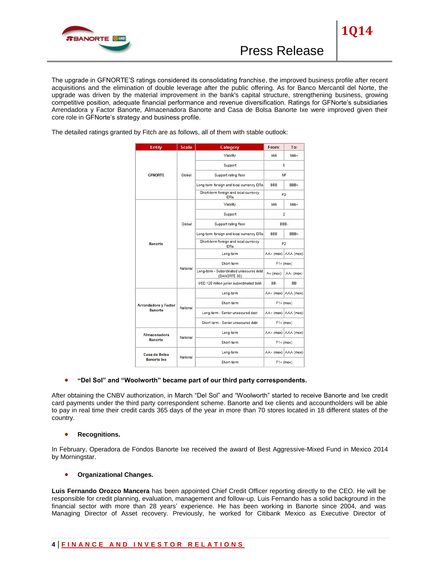

The upgrade in GFNORTE"S ratings considered its consolidating franchise, the improved business profile after recent acquisitions and the elimination of double leverage after the public offering. As for Banco Mercantil del Norte, the upgrade was driven by the material improvement in the bank's capital structure, strengthening business, growing competitive position, adequate financial performance and revenue diversification. Ratings for GFNorte's subsidiaries Arrendadora y Factor Banorte, Almacenadora Banorte and Casa de Bolsa Banorte Ixe were improved given their core role in GFNorte's strategy and business profile.

The detailed ratings granted by Fitch are as follows, all of them with stable outlook:

| <b>Entity</b>                                 | <b>Scale</b> | Category                                                | From:               | To:                 |
|-----------------------------------------------|--------------|---------------------------------------------------------|---------------------|---------------------|
| <b>GFNORTE</b>                                | Global       | Viability                                               | bbb                 | bbb+                |
|                                               |              | Support                                                 | 5                   |                     |
|                                               |              | Support rating floor                                    | <b>NF</b>           |                     |
|                                               |              | Long-term foreign and local currency IDRs               | <b>BBB</b>          | BBB+                |
|                                               |              | Short-term foreign and local currency<br><b>IDRs</b>    | F2                  |                     |
| Banorte                                       | Global       | Viability                                               | bbb                 | bbb+                |
|                                               |              | Support                                                 | $\overline{2}$      |                     |
|                                               |              | Support rating floor                                    | BBB-                |                     |
|                                               |              | Long-term foreign and local currency IDRs               | <b>BBB</b>          | BBB+                |
|                                               |              | Short-term foreign and local currency<br><b>IDRs</b>    | F <sub>2</sub>      |                     |
|                                               | National     | Long-term                                               | AA+ (mex) AAA (mex) |                     |
|                                               |              | Short-term                                              | $F1 + (mex)$        |                     |
|                                               |              | Long-term - Subordinated unsecured debt<br>(BANORTE 09) | $A + (mex)$         | AA-(mex)            |
|                                               |              | USD 120 million junior subordinated debt                | BB-                 | <b>BB</b>           |
| <b>Arrendadora y Factor</b><br><b>Banorte</b> | National     | Long-term                                               |                     | AA+ (mex) AAA (mex) |
|                                               |              | Short-term                                              | $F1+$ (mex)         |                     |
|                                               |              | Long-term - Senior unsecured debt                       |                     | AA+ (mex) AAA (mex) |
|                                               |              | Short-term - Senior unsecured debt                      | $F1+$ (mex)         |                     |
| Almacenadora<br><b>Banorte</b>                | National     | Long-term                                               | AA+ (mex) AAA (mex) |                     |
|                                               |              | Short-term                                              | $F1 + (mex)$        |                     |
| Casa de Bolsa<br><b>Banorte</b> Ixe           | National     | Long-term                                               | AA+ (mex) AAA (mex) |                     |
|                                               |              | Short-term                                              | $F1 + (mex)$        |                     |

# **"Del Sol" and "Woolworth" became part of our third party correspondents.**

After obtaining the CNBV authorization, in March "Del Sol" and "Woolworth" started to receive Banorte and Ixe credit card payments under the third party correspondent scheme. Banorte and Ixe clients and accountholders will be able to pay in real time their credit cards 365 days of the year in more than 70 stores located in 18 different states of the country.

## **•** Recognitions.

In February, Operadora de Fondos Banorte Ixe received the award of Best Aggressive-Mixed Fund in Mexico 2014 by Morningstar.

## **Organizational Changes.**

**Luis Fernando Orozco Mancera** has been appointed Chief Credit Officer reporting directly to the CEO. He will be responsible for credit planning, evaluation, management and follow-up. Luis Fernando has a solid background in the financial sector with more than 28 years' experience. He has been working in Banorte since 2004, and was Managing Director of Asset recovery. Previously, he worked for Citibank Mexico as Executive Director of

# **4 | F I N A N C E A N D I N V E S T O R R E L A T I O N S**